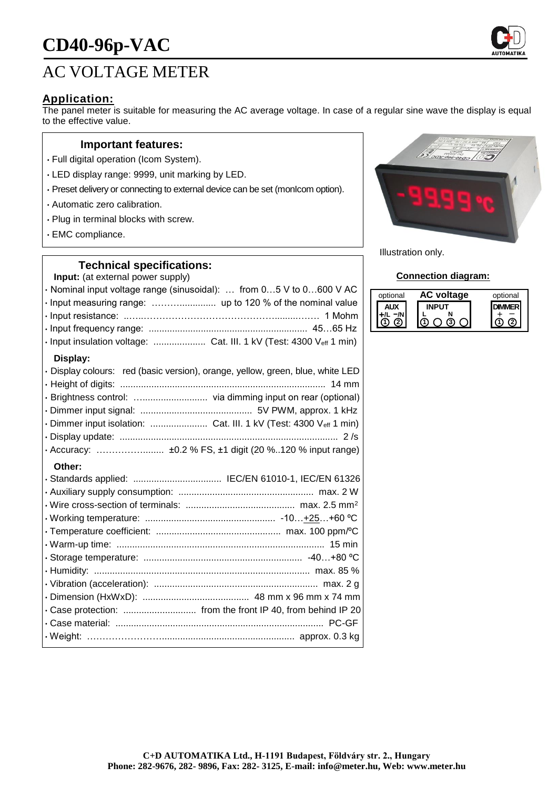# **CD40-96p-VAC**

# AC VOLTAGE METER

## **Application:**

The panel meter is suitable for measuring the AC average voltage. In case of a regular sine wave the display is equal to the effective value.

#### **Important features:**

- Full digital operation (Icom System).
- LED display range: 9999, unit marking by LED.
- Preset delivery or connecting to external device can be set (monIcom option).
- Automatic zero calibration.
- Plug in terminal blocks with screw.
- EMC compliance.

#### **Technical specifications:**

**Input:** (at external power supply)

| · Nominal input voltage range (sinusoidal):  from 05 V to 0600 V AC            |  |
|--------------------------------------------------------------------------------|--|
|                                                                                |  |
|                                                                                |  |
|                                                                                |  |
|                                                                                |  |
| Display:                                                                       |  |
| · Display colours: red (basic version), orange, yellow, green, blue, white LED |  |
|                                                                                |  |
|                                                                                |  |
|                                                                                |  |
| · Dimmer input isolation:  Cat. III. 1 kV (Test: 4300 Veff 1 min)              |  |
|                                                                                |  |
|                                                                                |  |

#### **Other:**

|  | · Standards applied:  IEC/EN 61010-1, IEC/EN 61326          |
|--|-------------------------------------------------------------|
|  |                                                             |
|  |                                                             |
|  |                                                             |
|  |                                                             |
|  |                                                             |
|  |                                                             |
|  |                                                             |
|  |                                                             |
|  |                                                             |
|  | . Case protection:  from the front IP 40, from behind IP 20 |
|  |                                                             |
|  |                                                             |
|  |                                                             |



Illustration only.

#### **Connection diagram:**

| optional | voltage | optional |
|----------|---------|----------|
|          |         |          |